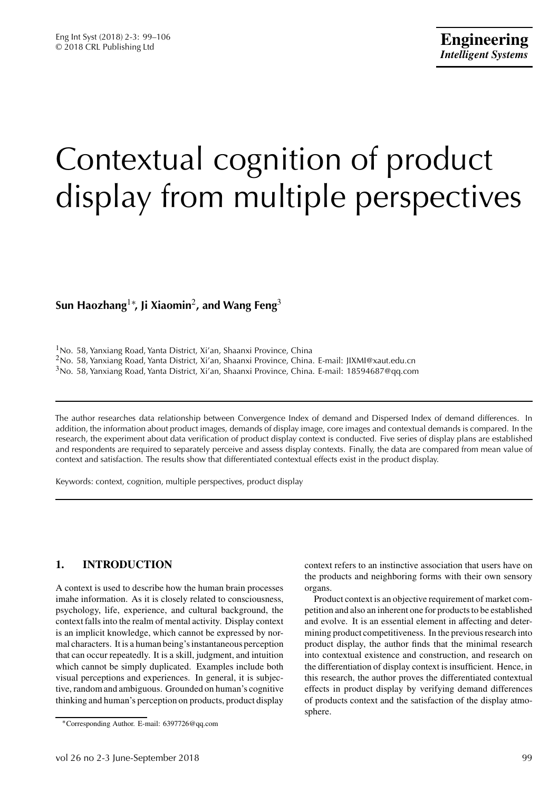# Contextual cognition of product display from multiple perspectives

# **Sun Haozhang**1<sup>∗</sup> **, Ji Xiaomin**2**, and Wang Feng**<sup>3</sup>

<sup>1</sup>No. 58, Yanxiang Road, Yanta District, Xi'an, Shaanxi Province, China <sup>2</sup>No. 58, Yanxiang Road, Yanta District, Xi'an, Shaanxi Province, China. E-mail: JIXMI@xaut.edu.cn <sup>3</sup>No. 58, Yanxiang Road, Yanta District, Xi'an, Shaanxi Province, China. E-mail: 18594687@qq.com

The author researches data relationship between Convergence Index of demand and Dispersed Index of demand differences. In addition, the information about product images, demands of display image, core images and contextual demands is compared. In the research, the experiment about data verification of product display context is conducted. Five series of display plans are established and respondents are required to separately perceive and assess display contexts. Finally, the data are compared from mean value of context and satisfaction. The results show that differentiated contextual effects exist in the product display.

Keywords: context, cognition, multiple perspectives, product display

## **1. INTRODUCTION**

A context is used to describe how the human brain processes imahe information. As it is closely related to consciousness, psychology, life, experience, and cultural background, the context falls into the realm of mental activity. Display context is an implicit knowledge, which cannot be expressed by normal characters. It is a human being's instantaneous perception that can occur repeatedly. It is a skill, judgment, and intuition which cannot be simply duplicated. Examples include both visual perceptions and experiences. In general, it is subjective, random and ambiguous. Grounded on human's cognitive thinking and human's perception on products, product display context refers to an instinctive association that users have on the products and neighboring forms with their own sensory organs.

Product context is an objective requirement of market competition and also an inherent one for products to be established and evolve. It is an essential element in affecting and determining product competitiveness. In the previous research into product display, the author finds that the minimal research into contextual existence and construction, and research on the differentiation of display context is insufficient. Hence, in this research, the author proves the differentiated contextual effects in product display by verifying demand differences of products context and the satisfaction of the display atmosphere.

<sup>∗</sup>Corresponding Author. E-mail: 6397726@qq.com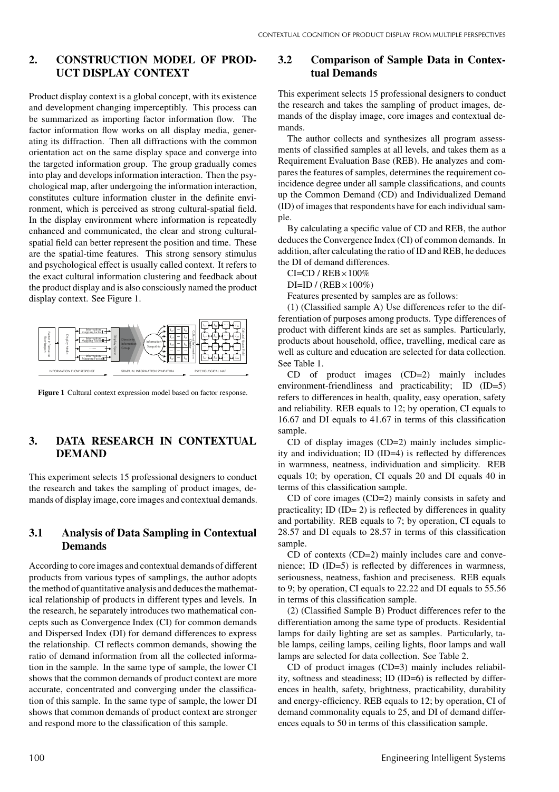## **2. CONSTRUCTION MODEL OF PROD-UCT DISPLAY CONTEXT**

Product display context is a global concept, with its existence and development changing imperceptibly. This process can be summarized as importing factor information flow. The factor information flow works on all display media, generating its diffraction. Then all diffractions with the common orientation act on the same display space and converge into the targeted information group. The group gradually comes into play and develops information interaction. Then the psychological map, after undergoing the information interaction, constitutes culture information cluster in the definite environment, which is perceived as strong cultural-spatial field. In the display environment where information is repeatedly enhanced and communicated, the clear and strong culturalspatial field can better represent the position and time. These are the spatial-time features. This strong sensory stimulus and psychological effect is usually called context. It refers to the exact cultural information clustering and feedback about the product display and is also consciously named the product display context. See Figure 1.



**Figure 1** Cultural context expression model based on factor response.

## **3. DATA RESEARCH IN CONTEXTUAL DEMAND**

This experiment selects 15 professional designers to conduct the research and takes the sampling of product images, demands of display image, core images and contextual demands.

#### **3.1 Analysis of Data Sampling in Contextual Demands**

According to core images and contextual demands of different products from various types of samplings, the author adopts the method of quantitative analysis and deduces the mathematical relationship of products in different types and levels. In the research, he separately introduces two mathematical concepts such as Convergence Index (CI) for common demands and Dispersed Index (DI) for demand differences to express the relationship. CI reflects common demands, showing the ratio of demand information from all the collected information in the sample. In the same type of sample, the lower CI shows that the common demands of product context are more accurate, concentrated and converging under the classification of this sample. In the same type of sample, the lower DI shows that common demands of product context are stronger and respond more to the classification of this sample.

#### **3.2 Comparison of Sample Data in Contextual Demands**

This experiment selects 15 professional designers to conduct the research and takes the sampling of product images, demands of the display image, core images and contextual demands.

The author collects and synthesizes all program assessments of classified samples at all levels, and takes them as a Requirement Evaluation Base (REB). He analyzes and compares the features of samples, determines the requirement coincidence degree under all sample classifications, and counts up the Common Demand (CD) and Individualized Demand (ID) of images that respondents have for each individual sample.

By calculating a specific value of CD and REB, the author deduces the Convergence Index (CI) of common demands. In addition, after calculating the ratio of ID and REB, he deduces the DI of demand differences.

 $CI = CD / REB \times 100\%$ 

 $DI=ID / (REB \times 100\%)$ 

Features presented by samples are as follows:

(1) (Classified sample A) Use differences refer to the differentiation of purposes among products. Type differences of product with different kinds are set as samples. Particularly, products about household, office, travelling, medical care as well as culture and education are selected for data collection. See Table 1.

CD of product images (CD=2) mainly includes environment-friendliness and practicability; ID (ID=5) refers to differences in health, quality, easy operation, safety and reliability. REB equals to 12; by operation, CI equals to 16.67 and DI equals to 41.67 in terms of this classification sample.

CD of display images (CD=2) mainly includes simplicity and individuation; ID (ID=4) is reflected by differences in warmness, neatness, individuation and simplicity. REB equals 10; by operation, CI equals 20 and DI equals 40 in terms of this classification sample.

CD of core images (CD=2) mainly consists in safety and practicality; ID (ID= 2) is reflected by differences in quality and portability. REB equals to 7; by operation, CI equals to 28.57 and DI equals to 28.57 in terms of this classification sample.

CD of contexts (CD=2) mainly includes care and convenience; ID (ID=5) is reflected by differences in warmness, seriousness, neatness, fashion and preciseness. REB equals to 9; by operation, CI equals to 22.22 and DI equals to 55.56 in terms of this classification sample.

(2) (Classified Sample B) Product differences refer to the differentiation among the same type of products. Residential lamps for daily lighting are set as samples. Particularly, table lamps, ceiling lamps, ceiling lights, floor lamps and wall lamps are selected for data collection. See Table 2.

CD of product images (CD=3) mainly includes reliability, softness and steadiness; ID (ID=6) is reflected by differences in health, safety, brightness, practicability, durability and energy-efficiency. REB equals to 12; by operation, CI of demand commonality equals to 25, and DI of demand differences equals to 50 in terms of this classification sample.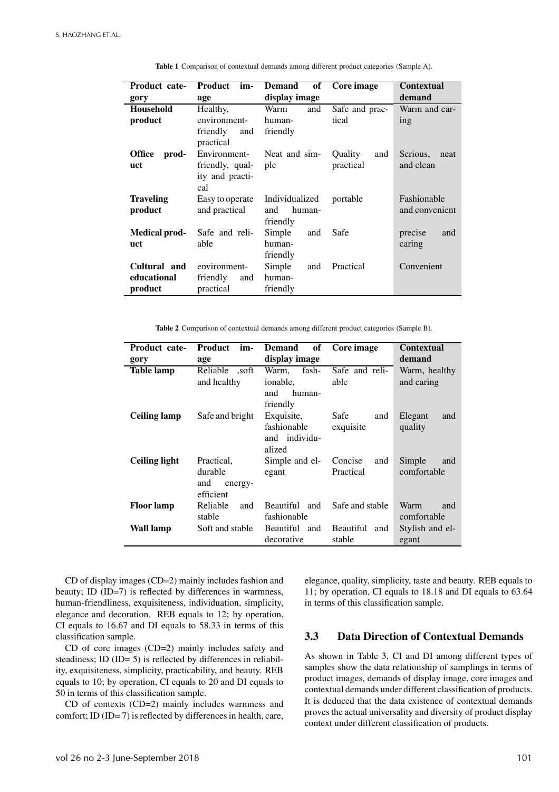| Product cate-          | <b>Product</b><br>im-        | of<br><b>Demand</b>       | Core image     | <b>Contextual</b> |
|------------------------|------------------------------|---------------------------|----------------|-------------------|
| gory                   | age                          | display image             |                | demand            |
| <b>Household</b>       | Healthy,                     | Warm<br>and               | Safe and prac- | Warm and car-     |
| product                | environment-                 | human-                    | tical          | ing               |
|                        | friendly<br>and<br>practical | friendly                  |                |                   |
| <b>Office</b><br>prod- | Environment-                 | Neat and sim-             | Quality<br>and | Serious,<br>neat  |
| uct                    | friendly, qual-              | ple                       | practical      | and clean         |
|                        | ity and practi-<br>cal       |                           |                |                   |
| Traveling              | Easy to operate              | Individualized            | portable       | Fashionable       |
| product                | and practical                | human-<br>and<br>friendly |                | and convenient    |
| Medical prod-          | Safe and reli-               | Simple<br>and             | Safe           | precise<br>and    |
| uct                    | able                         | human-                    |                | caring            |
|                        |                              | friendly                  |                |                   |
| Cultural and           | environment-                 | Simple<br>and             | Practical      | Convenient        |
| educational            | friendly<br>and              | human-                    |                |                   |
| product                | practical                    | friendly                  |                |                   |
|                        |                              |                           |                |                   |

**Table 1** Comparison of contextual demands among different product categories (Sample A).

**Table 2** Comparison of contextual demands among different product categories (Sample B).

| Product cate-        | <b>Product</b><br>im-                  | of<br><b>Demand</b>                                  | Core image                 | <b>Contextual</b>          |  |
|----------------------|----------------------------------------|------------------------------------------------------|----------------------------|----------------------------|--|
| gory                 | age                                    | display image                                        |                            | demand                     |  |
| <b>Table lamp</b>    | Reliable ,soft                         | Warm,<br>fash-                                       | Safe and reli-             | Warm, healthy              |  |
|                      | and healthy                            | ionable,                                             | able                       | and caring                 |  |
|                      |                                        | and<br>human-<br>friendly                            |                            |                            |  |
| <b>Ceiling lamp</b>  | Safe and bright                        | Exquisite,<br>fashionable<br>and individu-<br>alized | Safe<br>and<br>exquisite   | Elegant<br>and<br>quality  |  |
| <b>Ceiling light</b> | Practical,                             | Simple and el-                                       | Concise<br>and             | Simple<br>and              |  |
|                      | durable<br>and<br>energy-<br>efficient | egant                                                | Practical                  | comfortable                |  |
| Floor lamp           | Reliable<br>and<br>stable              | Beautiful and<br>fashionable                         | Safe and stable            | Warm<br>and<br>comfortable |  |
| Wall lamp            | Soft and stable                        | Beautiful and<br>decorative                          | Beautiful<br>and<br>stable | Stylish and el-<br>egant   |  |

CD of display images (CD=2) mainly includes fashion and beauty; ID (ID=7) is reflected by differences in warmness, human-friendliness, exquisiteness, individuation, simplicity, elegance and decoration. REB equals to 12; by operation, CI equals to 16.67 and DI equals to 58.33 in terms of this classification sample.

CD of core images (CD=2) mainly includes safety and steadiness; ID (ID= 5) is reflected by differences in reliability, exquisiteness, simplicity, practicability, and beauty. REB equals to 10; by operation, CI equals to 20 and DI equals to 50 in terms of this classification sample.

CD of contexts (CD=2) mainly includes warmness and comfort; ID (ID= 7) is reflected by differences in health, care, elegance, quality, simplicity, taste and beauty. REB equals to 11; by operation, CI equals to 18.18 and DI equals to 63.64 in terms of this classification sample.

## **3.3 Data Direction of Contextual Demands**

As shown in Table 3, CI and DI among different types of samples show the data relationship of samplings in terms of product images, demands of display image, core images and contextual demands under different classification of products. It is deduced that the data existence of contextual demands proves the actual universality and diversity of product display context under different classification of products.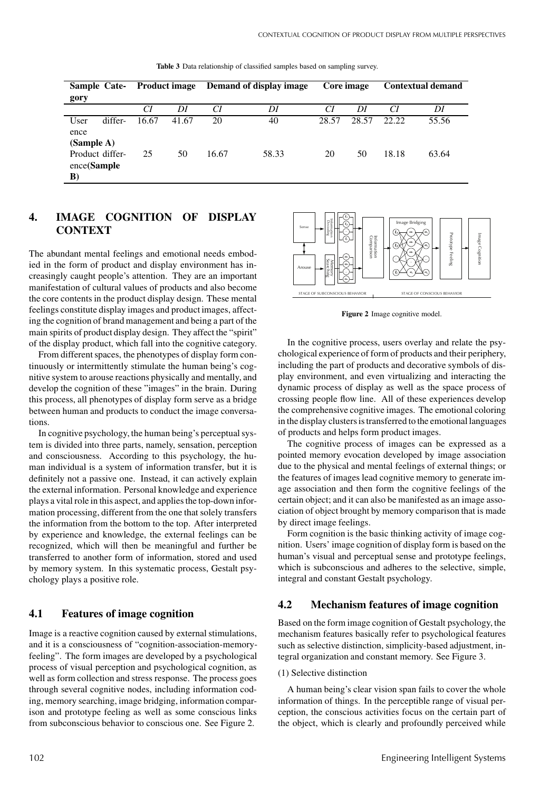| <b>Sample Cate-</b><br><b>Product image</b><br>gory |         |             | Demand of display image | Core image  |             | <b>Contextual demand</b> |             |                |                |
|-----------------------------------------------------|---------|-------------|-------------------------|-------------|-------------|--------------------------|-------------|----------------|----------------|
|                                                     |         | СI          | DI                      | CI          | DI          | CI                       | DI          | CI             | DI             |
| User<br>ence<br>(Sample A)<br>Product differ-       | differ- | 16.67<br>25 | 41.67<br>50             | 20<br>16.67 | 40<br>58.33 | 28.57<br>20              | 28.57<br>50 | 22.22<br>18.18 | 55.56<br>63.64 |
| ence(Sample)<br>B)                                  |         |             |                         |             |             |                          |             |                |                |

**Table 3** Data relationship of classified samples based on sampling survey.

# **4. IMAGE COGNITION OF DISPLAY CONTEXT**

The abundant mental feelings and emotional needs embodied in the form of product and display environment has increasingly caught people's attention. They are an important manifestation of cultural values of products and also become the core contents in the product display design. These mental feelings constitute display images and product images, affecting the cognition of brand management and being a part of the main spirits of product display design. They affect the "spirit" of the display product, which fall into the cognitive category.

From different spaces, the phenotypes of display form continuously or intermittently stimulate the human being's cognitive system to arouse reactions physically and mentally, and develop the cognition of these "images" in the brain. During this process, all phenotypes of display form serve as a bridge between human and products to conduct the image conversations.

In cognitive psychology, the human being's perceptual system is divided into three parts, namely, sensation, perception and consciousness. According to this psychology, the human individual is a system of information transfer, but it is definitely not a passive one. Instead, it can actively explain the external information. Personal knowledge and experience plays a vital role in this aspect, and applies the top-down information processing, different from the one that solely transfers the information from the bottom to the top. After interpreted by experience and knowledge, the external feelings can be recognized, which will then be meaningful and further be transferred to another form of information, stored and used by memory system. In this systematic process, Gestalt psychology plays a positive role.

#### **4.1 Features of image cognition**

Image is a reactive cognition caused by external stimulations, and it is a consciousness of "cognition-association-memoryfeeling". The form images are developed by a psychological process of visual perception and psychological cognition, as well as form collection and stress response. The process goes through several cognitive nodes, including information coding, memory searching, image bridging, information comparison and prototype feeling as well as some conscious links from subconscious behavior to conscious one. See Figure 2.



**Figure 2** Image cognitive model.

In the cognitive process, users overlay and relate the psychological experience of form of products and their periphery, including the part of products and decorative symbols of display environment, and even virtualizing and interacting the dynamic process of display as well as the space process of crossing people flow line. All of these experiences develop the comprehensive cognitive images. The emotional coloring in the display clusters is transferred to the emotional languages of products and helps form product images.

The cognitive process of images can be expressed as a pointed memory evocation developed by image association due to the physical and mental feelings of external things; or the features of images lead cognitive memory to generate image association and then form the cognitive feelings of the certain object; and it can also be manifested as an image association of object brought by memory comparison that is made by direct image feelings.

Form cognition is the basic thinking activity of image cognition. Users' image cognition of display form is based on the human's visual and perceptual sense and prototype feelings, which is subconscious and adheres to the selective, simple, integral and constant Gestalt psychology.

#### **4.2 Mechanism features of image cognition**

Based on the form image cognition of Gestalt psychology, the mechanism features basically refer to psychological features such as selective distinction, simplicity-based adjustment, integral organization and constant memory. See Figure 3.

#### (1) Selective distinction

A human being's clear vision span fails to cover the whole information of things. In the perceptible range of visual perception, the conscious activities focus on the certain part of the object, which is clearly and profoundly perceived while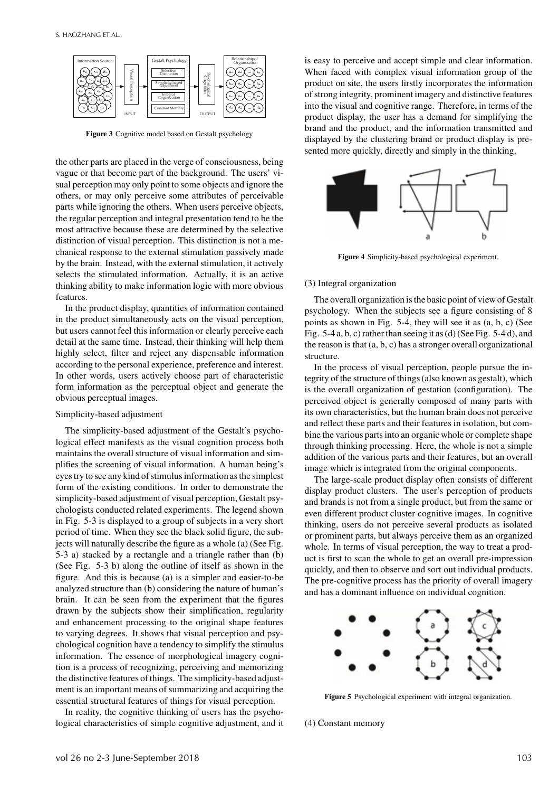

**Figure 3** Cognitive model based on Gestalt psychology

the other parts are placed in the verge of consciousness, being vague or that become part of the background. The users' visual perception may only point to some objects and ignore the others, or may only perceive some attributes of perceivable parts while ignoring the others. When users perceive objects, the regular perception and integral presentation tend to be the most attractive because these are determined by the selective distinction of visual perception. This distinction is not a mechanical response to the external stimulation passively made by the brain. Instead, with the external stimulation, it actively selects the stimulated information. Actually, it is an active thinking ability to make information logic with more obvious features.

In the product display, quantities of information contained in the product simultaneously acts on the visual perception, but users cannot feel this information or clearly perceive each detail at the same time. Instead, their thinking will help them highly select, filter and reject any dispensable information according to the personal experience, preference and interest. In other words, users actively choose part of characteristic form information as the perceptual object and generate the obvious perceptual images.

#### Simplicity-based adjustment

The simplicity-based adjustment of the Gestalt's psychological effect manifests as the visual cognition process both maintains the overall structure of visual information and simplifies the screening of visual information. A human being's eyes try to see any kind of stimulus information as the simplest form of the existing conditions. In order to demonstrate the simplicity-based adjustment of visual perception, Gestalt psychologists conducted related experiments. The legend shown in Fig. 5-3 is displayed to a group of subjects in a very short period of time. When they see the black solid figure, the subjects will naturally describe the figure as a whole (a) (See Fig. 5-3 a) stacked by a rectangle and a triangle rather than (b) (See Fig. 5-3 b) along the outline of itself as shown in the figure. And this is because (a) is a simpler and easier-to-be analyzed structure than (b) considering the nature of human's brain. It can be seen from the experiment that the figures drawn by the subjects show their simplification, regularity and enhancement processing to the original shape features to varying degrees. It shows that visual perception and psychological cognition have a tendency to simplify the stimulus information. The essence of morphological imagery cognition is a process of recognizing, perceiving and memorizing the distinctive features of things. The simplicity-based adjustment is an important means of summarizing and acquiring the essential structural features of things for visual perception.

In reality, the cognitive thinking of users has the psychological characteristics of simple cognitive adjustment, and it is easy to perceive and accept simple and clear information. When faced with complex visual information group of the product on site, the users firstly incorporates the information of strong integrity, prominent imagery and distinctive features into the visual and cognitive range. Therefore, in terms of the product display, the user has a demand for simplifying the brand and the product, and the information transmitted and displayed by the clustering brand or product display is presented more quickly, directly and simply in the thinking.



**Figure 4** Simplicity-based psychological experiment.

#### (3) Integral organization

The overall organization is the basic point of view of Gestalt psychology. When the subjects see a figure consisting of 8 points as shown in Fig. 5-4, they will see it as (a, b, c) (See Fig. 5-4 a, b, c) rather than seeing it as (d) (See Fig. 5-4 d), and the reason is that (a, b, c) has a stronger overall organizational structure.

In the process of visual perception, people pursue the integrity of the structure of things (also known as gestalt), which is the overall organization of gestation (configuration). The perceived object is generally composed of many parts with its own characteristics, but the human brain does not perceive and reflect these parts and their features in isolation, but combine the various parts into an organic whole or complete shape through thinking processing. Here, the whole is not a simple addition of the various parts and their features, but an overall image which is integrated from the original components.

The large-scale product display often consists of different display product clusters. The user's perception of products and brands is not from a single product, but from the same or even different product cluster cognitive images. In cognitive thinking, users do not perceive several products as isolated or prominent parts, but always perceive them as an organized whole. In terms of visual perception, the way to treat a product is first to scan the whole to get an overall pre-impression quickly, and then to observe and sort out individual products. The pre-cognitive process has the priority of overall imagery and has a dominant influence on individual cognition.



**Figure 5** Psychological experiment with integral organization.

(4) Constant memory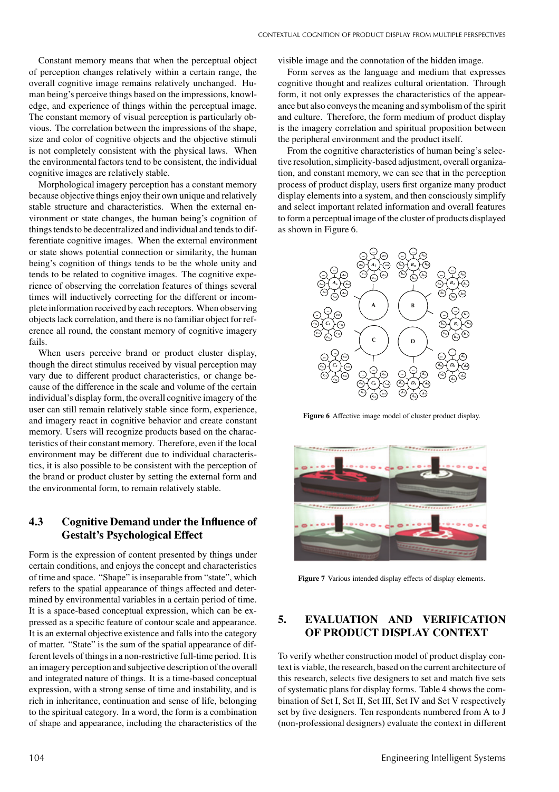Constant memory means that when the perceptual object of perception changes relatively within a certain range, the overall cognitive image remains relatively unchanged. Human being's perceive things based on the impressions, knowledge, and experience of things within the perceptual image. The constant memory of visual perception is particularly obvious. The correlation between the impressions of the shape, size and color of cognitive objects and the objective stimuli is not completely consistent with the physical laws. When the environmental factors tend to be consistent, the individual cognitive images are relatively stable.

Morphological imagery perception has a constant memory because objective things enjoy their own unique and relatively stable structure and characteristics. When the external environment or state changes, the human being's cognition of things tends to be decentralized and individual and tends to differentiate cognitive images. When the external environment or state shows potential connection or similarity, the human being's cognition of things tends to be the whole unity and tends to be related to cognitive images. The cognitive experience of observing the correlation features of things several times will inductively correcting for the different or incomplete information received by each receptors. When observing objects lack correlation, and there is no familiar object for reference all round, the constant memory of cognitive imagery fails.

When users perceive brand or product cluster display, though the direct stimulus received by visual perception may vary due to different product characteristics, or change because of the difference in the scale and volume of the certain individual's display form, the overall cognitive imagery of the user can still remain relatively stable since form, experience, and imagery react in cognitive behavior and create constant memory. Users will recognize products based on the characteristics of their constant memory. Therefore, even if the local environment may be different due to individual characteristics, it is also possible to be consistent with the perception of the brand or product cluster by setting the external form and the environmental form, to remain relatively stable.

# **4.3 Cognitive Demand under the Influence of Gestalt's Psychological Effect**

Form is the expression of content presented by things under certain conditions, and enjoys the concept and characteristics of time and space. "Shape" is inseparable from "state", which refers to the spatial appearance of things affected and determined by environmental variables in a certain period of time. It is a space-based conceptual expression, which can be expressed as a specific feature of contour scale and appearance. It is an external objective existence and falls into the category of matter. "State" is the sum of the spatial appearance of different levels of things in a non-restrictive full-time period. It is an imagery perception and subjective description of the overall and integrated nature of things. It is a time-based conceptual expression, with a strong sense of time and instability, and is rich in inheritance, continuation and sense of life, belonging to the spiritual category. In a word, the form is a combination of shape and appearance, including the characteristics of the

visible image and the connotation of the hidden image.

Form serves as the language and medium that expresses cognitive thought and realizes cultural orientation. Through form, it not only expresses the characteristics of the appearance but also conveys the meaning and symbolism of the spirit and culture. Therefore, the form medium of product display is the imagery correlation and spiritual proposition between the peripheral environment and the product itself.

From the cognitive characteristics of human being's selective resolution, simplicity-based adjustment, overall organization, and constant memory, we can see that in the perception process of product display, users first organize many product display elements into a system, and then consciously simplify and select important related information and overall features to form a perceptual image of the cluster of products displayed as shown in Figure 6.



**Figure 6** Affective image model of cluster product display.



**Figure 7** Various intended display effects of display elements.

#### **5. EVALUATION AND VERIFICATION OF PRODUCT DISPLAY CONTEXT**

To verify whether construction model of product display context is viable, the research, based on the current architecture of this research, selects five designers to set and match five sets of systematic plans for display forms. Table 4 shows the combination of Set I, Set II, Set III, Set IV and Set V respectively set by five designers. Ten respondents numbered from A to J (non-professional designers) evaluate the context in different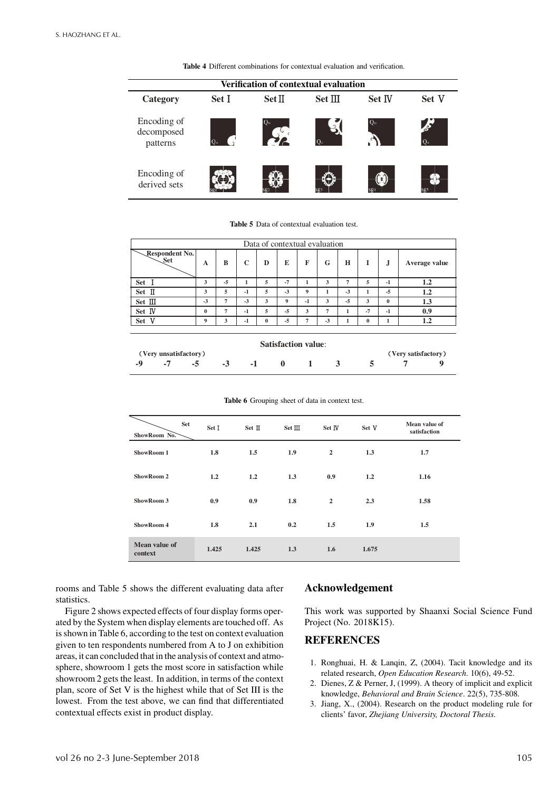**Table 4** Different combinations for contextual evaluation and verification.

| <b>Verification of contextual evaluation</b> |              |               |         |             |               |  |  |  |  |
|----------------------------------------------|--------------|---------------|---------|-------------|---------------|--|--|--|--|
| Category                                     | Set I        | <b>Set II</b> | Set III | Set IV      | Set V         |  |  |  |  |
| Encoding of<br>decomposed<br>patterns        | $O_{\alpha}$ | $Q_m$         |         | $O_{\rm m}$ | $\frac{1}{2}$ |  |  |  |  |
| Encoding of<br>derived sets                  |              |               |         |             | Sg5           |  |  |  |  |

**Table 5** Data of contextual evaluation test.

| Data of contextual evaluation |          |    |      |          |      |      |              |      |          |          |               |
|-------------------------------|----------|----|------|----------|------|------|--------------|------|----------|----------|---------------|
| Respondent No.<br>Set         | A        | B  | C    | D        | E    | F    | G            | H    |          |          | Average value |
| <b>Set</b>                    | 3        | -5 |      | 5        | $-7$ |      | 3            | 7    | 5        | $-1$     | $1.2\,$       |
| П<br><b>Set</b>               | 3        | 5  | $-1$ | 5        | $-3$ | 9    |              | $-3$ |          | $-5$     | 1.2           |
| Set III                       | $-3$     | 7  | $-3$ | 3        | 9    | $-1$ | 3            | -5   | 3        | $\bf{0}$ | 1.3           |
| Set IV                        | $\bf{0}$ | 7  | $-1$ | 5        | $-5$ | 3    | $\mathbf{r}$ |      | $-7$     | $-1$     | 0.9           |
| ٦Z<br>Set                     | 9        | 3  | $-1$ | $\bf{0}$ | $-5$ | 7    | $-3$         |      | $\bf{0}$ |          |               |

| <b>Satisfaction value:</b> |                       |          |               |  |  |  |              |  |                     |  |
|----------------------------|-----------------------|----------|---------------|--|--|--|--------------|--|---------------------|--|
|                            | (Very unsatisfactory) |          |               |  |  |  |              |  | (Very satisfactory) |  |
|                            |                       | $-7 - 5$ | $-3$ $-1$ 0 1 |  |  |  | $\mathbf{R}$ |  |                     |  |

**Table 6** Grouping sheet of data in context test.

| <b>Set</b><br>ShowRoom No. | Set I | Set II | Set III | Set IV         | Set V | Mean value of<br>satisfaction |
|----------------------------|-------|--------|---------|----------------|-------|-------------------------------|
| ShowRoom 1                 | 1.8   | 1.5    | 1.9     | $\overline{2}$ | 1.3   | 1.7                           |
| ShowRoom 2                 | 1.2   | 1.2    | 1.3     | 0.9            | 1.2   | 1.16                          |
| ShowRoom 3                 | 0.9   | 0.9    | 1.8     | $\overline{2}$ | 2.3   | 1.58                          |
| ShowRoom 4                 | 1.8   | 2.1    | 0.2     | 1.5            | 1.9   | 1.5                           |
| Mean value of<br>context   | 1.425 | 1.425  | 1.3     | 1.6            | 1.675 |                               |

rooms and Table 5 shows the different evaluating data after statistics.

Figure 2 shows expected effects of four display forms operated by the System when display elements are touched off. As is shown in Table 6, according to the test on context evaluation given to ten respondents numbered from A to J on exhibition areas, it can concluded that in the analysis of context and atmosphere, showroom 1 gets the most score in satisfaction while showroom 2 gets the least. In addition, in terms of the context plan, score of Set V is the highest while that of Set III is the lowest. From the test above, we can find that differentiated contextual effects exist in product display.

#### **Acknowledgement**

This work was supported by Shaanxi Social Science Fund Project (No. 2018K15).

#### **REFERENCES**

- 1. Ronghuai, H. & Lanqin, Z, (2004). Tacit knowledge and its related research, *Open Education Research*. 10(6), 49-52.
- 2. Dienes, Z & Perner, J, (1999). A theory of implicit and explicit knowledge, *Behavioral and Brain Science*. 22(5), 735-808.
- 3. Jiang, X., (2004). Research on the product modeling rule for clients' favor, *Zhejiang University, Doctoral Thesis.*